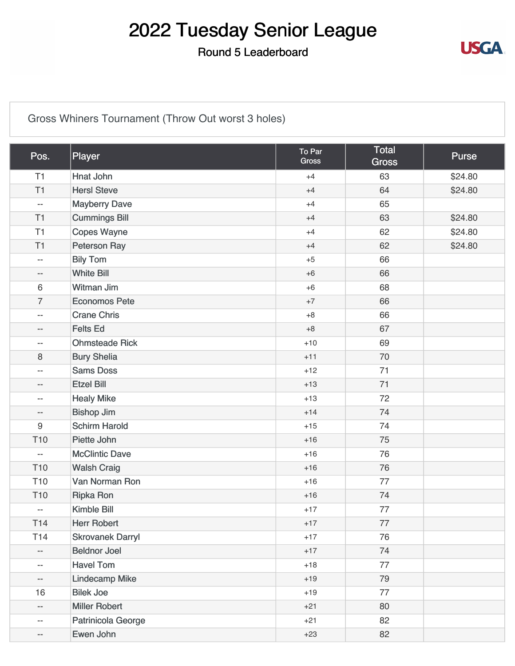#### Round 5 Leaderboard



### [Gross Whiners Tournament \(Throw Out worst 3 holes\)](https://static.golfgenius.com/v2tournaments/8482365347821804337?called_from=&round_index=5)

| Pos.                     | Player                  | To Par<br><b>Gross</b> | <b>Total</b><br><b>Gross</b> | <b>Purse</b> |
|--------------------------|-------------------------|------------------------|------------------------------|--------------|
| T1                       | Hnat John               | $+4$                   | 63                           | \$24.80      |
| T1                       | <b>HersI Steve</b>      | $+4$                   | 64                           | \$24.80      |
| $\overline{\phantom{a}}$ | <b>Mayberry Dave</b>    | $+4$                   | 65                           |              |
| T1                       | <b>Cummings Bill</b>    | $+4$                   | 63                           | \$24.80      |
| T <sub>1</sub>           | <b>Copes Wayne</b>      | $+4$                   | 62                           | \$24.80      |
| T <sub>1</sub>           | <b>Peterson Ray</b>     | $+4$                   | 62                           | \$24.80      |
| $\overline{\phantom{a}}$ | <b>Bily Tom</b>         | $+5$                   | 66                           |              |
| $-$                      | <b>White Bill</b>       | $+6$                   | 66                           |              |
| 6                        | Witman Jim              | $+6$                   | 68                           |              |
| $\overline{7}$           | <b>Economos Pete</b>    | $+7$                   | 66                           |              |
| $\overline{\phantom{m}}$ | <b>Crane Chris</b>      | $+8$                   | 66                           |              |
| --                       | <b>Felts Ed</b>         | $+8$                   | 67                           |              |
| $\overline{\phantom{m}}$ | <b>Ohmsteade Rick</b>   | $+10$                  | 69                           |              |
| 8                        | <b>Bury Shelia</b>      | $+11$                  | 70                           |              |
| $- -$                    | <b>Sams Doss</b>        | $+12$                  | 71                           |              |
| $- -$                    | <b>Etzel Bill</b>       | $+13$                  | 71                           |              |
| --                       | <b>Healy Mike</b>       | $+13$                  | 72                           |              |
| $-$                      | <b>Bishop Jim</b>       | $+14$                  | 74                           |              |
| $\boldsymbol{9}$         | <b>Schirm Harold</b>    | $+15$                  | 74                           |              |
| T <sub>10</sub>          | Piette John             | $+16$                  | 75                           |              |
| $\overline{\phantom{a}}$ | <b>McClintic Dave</b>   | $+16$                  | 76                           |              |
| T <sub>10</sub>          | <b>Walsh Craig</b>      | $+16$                  | 76                           |              |
| T <sub>10</sub>          | Van Norman Ron          | $+16$                  | 77                           |              |
| T <sub>10</sub>          | <b>Ripka Ron</b>        | $+16$                  | 74                           |              |
| --                       | <b>Kimble Bill</b>      | $+17$                  | 77                           |              |
| T <sub>14</sub>          | <b>Herr Robert</b>      | $+17$                  | 77                           |              |
| T14                      | <b>Skrovanek Darryl</b> | $+17$                  | 76                           |              |
| --                       | <b>Beldnor Joel</b>     | $+17$                  | 74                           |              |
| $- -$                    | <b>Havel Tom</b>        | $+18$                  | 77                           |              |
| --                       | <b>Lindecamp Mike</b>   | $+19$                  | 79                           |              |
| 16                       | <b>Bilek Joe</b>        | $+19$                  | 77                           |              |
| --                       | <b>Miller Robert</b>    | $+21$                  | 80                           |              |
| --                       | Patrinicola George      | $+21$                  | 82                           |              |
| --                       | Ewen John               | $+23$                  | 82                           |              |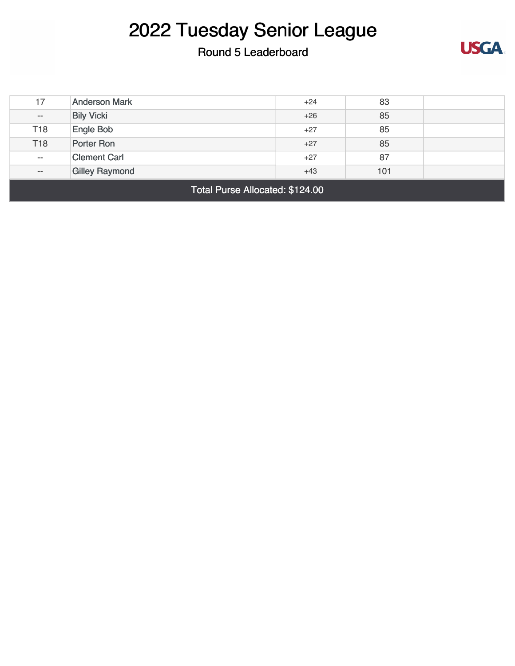### Round 5 Leaderboard



| Total Purse Allocated: \$124.00                |                      |       |    |  |  |
|------------------------------------------------|----------------------|-------|----|--|--|
| <b>Gilley Raymond</b><br>101<br>$+43$<br>$- -$ |                      |       |    |  |  |
| $- -$                                          | <b>Clement Carl</b>  | $+27$ | 87 |  |  |
| T <sub>18</sub>                                | Porter Ron           | $+27$ | 85 |  |  |
| T <sub>18</sub>                                | Engle Bob            | $+27$ | 85 |  |  |
| $-\, -$                                        | <b>Bily Vicki</b>    | $+26$ | 85 |  |  |
| 17                                             | <b>Anderson Mark</b> | $+24$ | 83 |  |  |
|                                                |                      |       |    |  |  |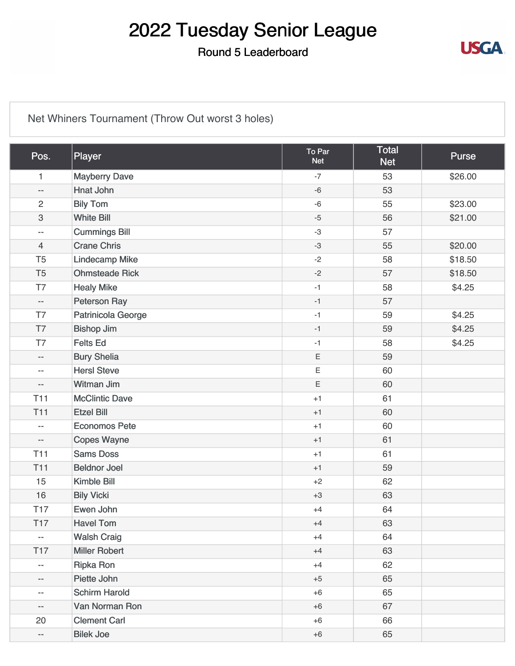#### Round 5 Leaderboard



### [Net Whiners Tournament \(Throw Out worst 3 holes\)](https://static.golfgenius.com/v2tournaments/8482365351277910834?called_from=&round_index=5)

| Pos.                     | Player                | To Par<br><b>Net</b> | <b>Total</b><br><b>Net</b> | <b>Purse</b> |
|--------------------------|-----------------------|----------------------|----------------------------|--------------|
| $\mathbf{1}$             | <b>Mayberry Dave</b>  | $-7$                 | 53                         | \$26.00      |
| $\overline{\phantom{a}}$ | Hnat John             | $-6$                 | 53                         |              |
| $\overline{2}$           | <b>Bily Tom</b>       | $-6$                 | 55                         | \$23.00      |
| $\sqrt{3}$               | <b>White Bill</b>     | $-5$                 | 56                         | \$21.00      |
| $\overline{\phantom{m}}$ | <b>Cummings Bill</b>  | $-3$                 | 57                         |              |
| $\overline{4}$           | <b>Crane Chris</b>    | $-3$                 | 55                         | \$20.00      |
| T <sub>5</sub>           | <b>Lindecamp Mike</b> | $-2$                 | 58                         | \$18.50      |
| T <sub>5</sub>           | <b>Ohmsteade Rick</b> | $-2$                 | 57                         | \$18.50      |
| T7                       | <b>Healy Mike</b>     | $-1$                 | 58                         | \$4.25       |
| $\overline{\phantom{a}}$ | Peterson Ray          | $-1$                 | 57                         |              |
| T7                       | Patrinicola George    | $-1$                 | 59                         | \$4.25       |
| T7                       | <b>Bishop Jim</b>     | $-1$                 | 59                         | \$4.25       |
| T7                       | <b>Felts Ed</b>       | $-1$                 | 58                         | \$4.25       |
| $\overline{\phantom{a}}$ | <b>Bury Shelia</b>    | $\mathsf E$          | 59                         |              |
| $\overline{\phantom{m}}$ | <b>Hersl Steve</b>    | $\mathsf E$          | 60                         |              |
| $\overline{\phantom{m}}$ | Witman Jim            | $\mathsf E$          | 60                         |              |
| <b>T11</b>               | <b>McClintic Dave</b> | $+1$                 | 61                         |              |
| <b>T11</b>               | <b>Etzel Bill</b>     | $+1$                 | 60                         |              |
| $\overline{\phantom{m}}$ | <b>Economos Pete</b>  | $+1$                 | 60                         |              |
| $\overline{\phantom{m}}$ | <b>Copes Wayne</b>    | $+1$                 | 61                         |              |
| <b>T11</b>               | <b>Sams Doss</b>      | $+1$                 | 61                         |              |
| <b>T11</b>               | <b>Beldnor Joel</b>   | $+1$                 | 59                         |              |
| 15                       | <b>Kimble Bill</b>    | $+2$                 | 62                         |              |
| 16                       | <b>Bily Vicki</b>     | $+3$                 | 63                         |              |
| <b>T17</b>               | Ewen John             | $+4$                 | 64                         |              |
| <b>T17</b>               | <b>Havel Tom</b>      | $+4$                 | 63                         |              |
| $\overline{\phantom{a}}$ | <b>Walsh Craig</b>    | $+4$                 | 64                         |              |
| <b>T17</b>               | <b>Miller Robert</b>  | $+4$                 | 63                         |              |
| $-\, -$                  | <b>Ripka Ron</b>      | $+4$                 | 62                         |              |
| --                       | Piette John           | $+5$                 | 65                         |              |
| $- -$                    | <b>Schirm Harold</b>  | $+6$                 | 65                         |              |
| --                       | Van Norman Ron        | $+6$                 | 67                         |              |
| 20                       | <b>Clement Carl</b>   | $+6$                 | 66                         |              |
| $\overline{\phantom{a}}$ | <b>Bilek Joe</b>      | $+6$                 | 65                         |              |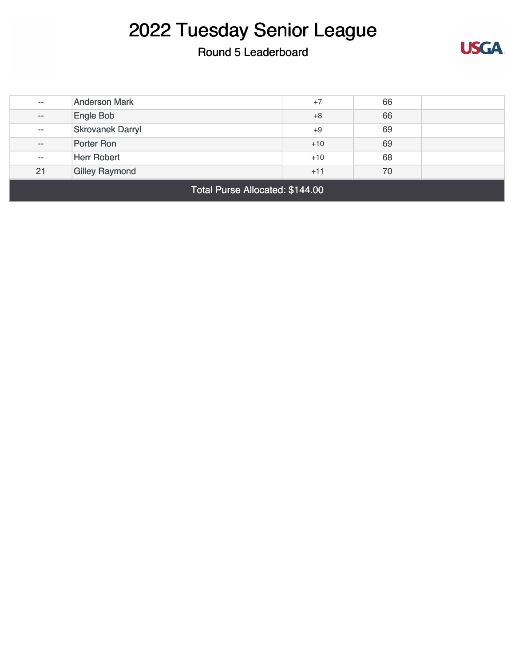### Round 5 Leaderboard



| $- -$                           | <b>Anderson Mark</b>    | $+7$  | 66 |  |
|---------------------------------|-------------------------|-------|----|--|
| $- -$                           | Engle Bob               | $+8$  | 66 |  |
| $- -$                           | <b>Skrovanek Darryl</b> | $+9$  | 69 |  |
| $- -$                           | Porter Ron              | $+10$ | 69 |  |
| $\overline{\phantom{m}}$        | <b>Herr Robert</b>      | $+10$ | 68 |  |
| 21                              | <b>Gilley Raymond</b>   | $+11$ | 70 |  |
| Total Purse Allocated: \$144.00 |                         |       |    |  |